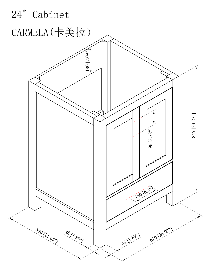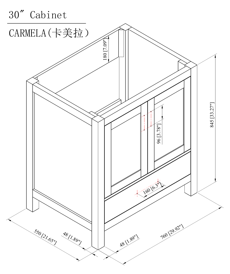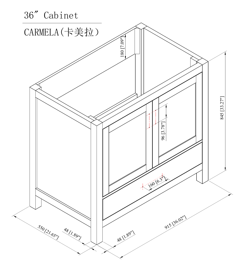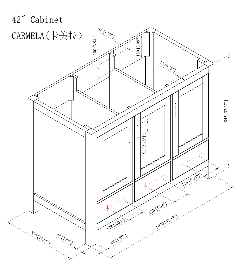

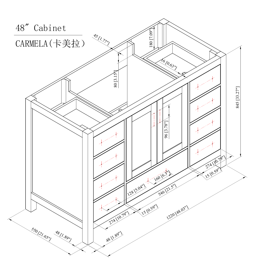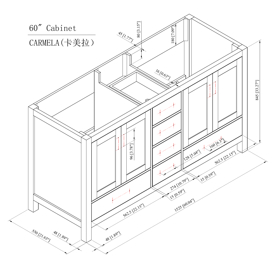